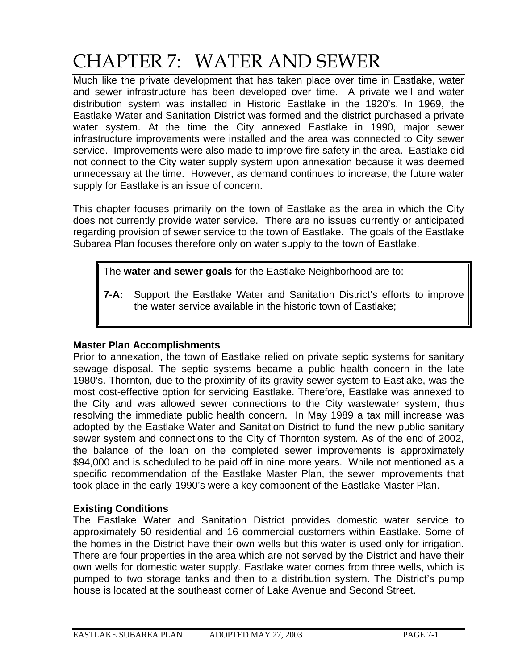## CHAPTER 7: WATER AND SEWER

Much like the private development that has taken place over time in Eastlake, water and sewer infrastructure has been developed over time. A private well and water distribution system was installed in Historic Eastlake in the 1920's. In 1969, the Eastlake Water and Sanitation District was formed and the district purchased a private water system. At the time the City annexed Eastlake in 1990, major sewer infrastructure improvements were installed and the area was connected to City sewer service. Improvements were also made to improve fire safety in the area. Eastlake did not connect to the City water supply system upon annexation because it was deemed unnecessary at the time. However, as demand continues to increase, the future water supply for Eastlake is an issue of concern.

This chapter focuses primarily on the town of Eastlake as the area in which the City does not currently provide water service. There are no issues currently or anticipated regarding provision of sewer service to the town of Eastlake. The goals of the Eastlake Subarea Plan focuses therefore only on water supply to the town of Eastlake.

The **water and sewer goals** for the Eastlake Neighborhood are to:

**7-A:** Support the Eastlake Water and Sanitation District's efforts to improve the water service available in the historic town of Eastlake;

## **Master Plan Accomplishments**

Prior to annexation, the town of Eastlake relied on private septic systems for sanitary sewage disposal. The septic systems became a public health concern in the late 1980's. Thornton, due to the proximity of its gravity sewer system to Eastlake, was the most cost-effective option for servicing Eastlake. Therefore, Eastlake was annexed to the City and was allowed sewer connections to the City wastewater system, thus resolving the immediate public health concern. In May 1989 a tax mill increase was adopted by the Eastlake Water and Sanitation District to fund the new public sanitary sewer system and connections to the City of Thornton system. As of the end of 2002, the balance of the loan on the completed sewer improvements is approximately \$94,000 and is scheduled to be paid off in nine more years. While not mentioned as a specific recommendation of the Eastlake Master Plan, the sewer improvements that took place in the early-1990's were a key component of the Eastlake Master Plan.

## **Existing Conditions**

The Eastlake Water and Sanitation District provides domestic water service to approximately 50 residential and 16 commercial customers within Eastlake. Some of the homes in the District have their own wells but this water is used only for irrigation. There are four properties in the area which are not served by the District and have their own wells for domestic water supply. Eastlake water comes from three wells, which is pumped to two storage tanks and then to a distribution system. The District's pump house is located at the southeast corner of Lake Avenue and Second Street.